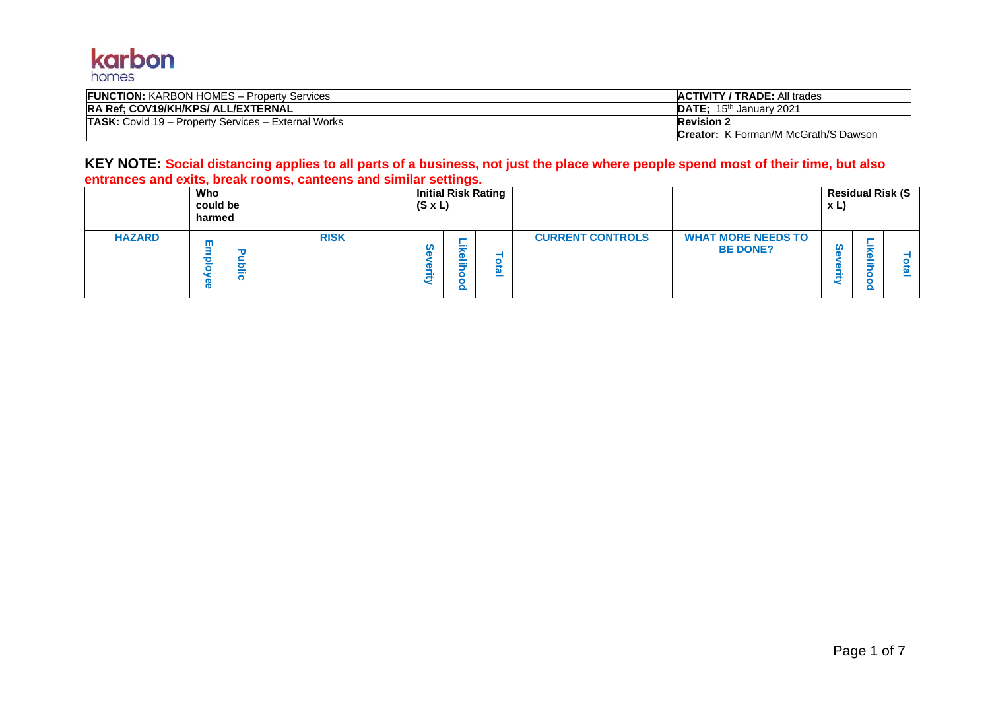

| <b>FUNCTION: KARBON HOMES - Property Services</b>   | <b>ACTIVITY / TRADE: All trades</b>         |
|-----------------------------------------------------|---------------------------------------------|
| <b>RA Ref: COV19/KH/KPS/ ALL/EXTERNAL</b>           | <b>DATE:</b> 15 <sup>th</sup> January 2021  |
| TASK: Covid 19 - Property Services - External Works | <b>Revision 2</b>                           |
|                                                     | <b>Creator:</b> K Forman/M McGrath/S Dawson |

### **KEY NOTE: Social distancing applies to all parts of a business, not just the place where people spend most of their time, but also entrances and exits, break rooms, canteens and similar settings.**

|               | Who<br>could be<br>harmed |                       |             | $(S \times L)$ |          | <b>Initial Risk Rating</b> |                         |                                              | x L | <b>Residual Risk (S</b>                            |  |
|---------------|---------------------------|-----------------------|-------------|----------------|----------|----------------------------|-------------------------|----------------------------------------------|-----|----------------------------------------------------|--|
| <b>HAZARD</b> | ш                         | u<br>_<br>$\sim$<br>- | <b>RISK</b> |                | - -<br>o | $\overline{\phantom{a}}$   | <b>CURRENT CONTROLS</b> | <b>WHAT MORE NEEDS TO</b><br><b>BE DONE?</b> | m   | $\overline{\mathbf{D}}$<br>m.<br>$\mathbf{\Omega}$ |  |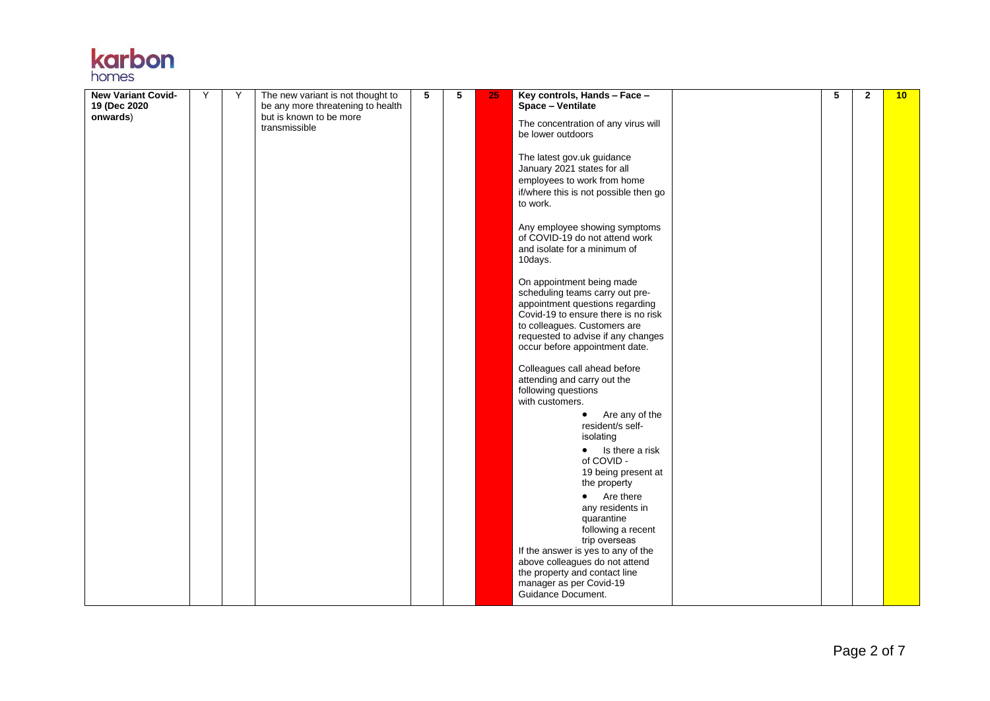|       | <b>Karpon</b> |
|-------|---------------|
|       |               |
| homes |               |

| <b>New Variant Covid-</b> | Υ | Υ | The new variant is not thought to                            | 5 | 5 | 25 | Key controls, Hands - Face -                                                                                                                                                                                                                   | 5 | $\mathbf{2}$ | 10 |
|---------------------------|---|---|--------------------------------------------------------------|---|---|----|------------------------------------------------------------------------------------------------------------------------------------------------------------------------------------------------------------------------------------------------|---|--------------|----|
| 19 (Dec 2020<br>onwards)  |   |   | be any more threatening to health<br>but is known to be more |   |   |    | Space - Ventilate                                                                                                                                                                                                                              |   |              |    |
|                           |   |   | transmissible                                                |   |   |    | The concentration of any virus will<br>be lower outdoors                                                                                                                                                                                       |   |              |    |
|                           |   |   |                                                              |   |   |    | The latest gov.uk guidance<br>January 2021 states for all<br>employees to work from home<br>if/where this is not possible then go<br>to work.                                                                                                  |   |              |    |
|                           |   |   |                                                              |   |   |    | Any employee showing symptoms<br>of COVID-19 do not attend work<br>and isolate for a minimum of<br>10days.                                                                                                                                     |   |              |    |
|                           |   |   |                                                              |   |   |    | On appointment being made<br>scheduling teams carry out pre-<br>appointment questions regarding<br>Covid-19 to ensure there is no risk<br>to colleagues. Customers are<br>requested to advise if any changes<br>occur before appointment date. |   |              |    |
|                           |   |   |                                                              |   |   |    | Colleagues call ahead before<br>attending and carry out the<br>following questions<br>with customers.                                                                                                                                          |   |              |    |
|                           |   |   |                                                              |   |   |    | Are any of the<br>$\bullet$<br>resident/s self-<br>isolating                                                                                                                                                                                   |   |              |    |
|                           |   |   |                                                              |   |   |    | $\bullet$ Is there a risk<br>of COVID -<br>19 being present at<br>the property                                                                                                                                                                 |   |              |    |
|                           |   |   |                                                              |   |   |    | Are there<br>any residents in<br>quarantine<br>following a recent                                                                                                                                                                              |   |              |    |
|                           |   |   |                                                              |   |   |    | trip overseas<br>If the answer is yes to any of the<br>above colleagues do not attend<br>the property and contact line<br>manager as per Covid-19<br>Guidance Document.                                                                        |   |              |    |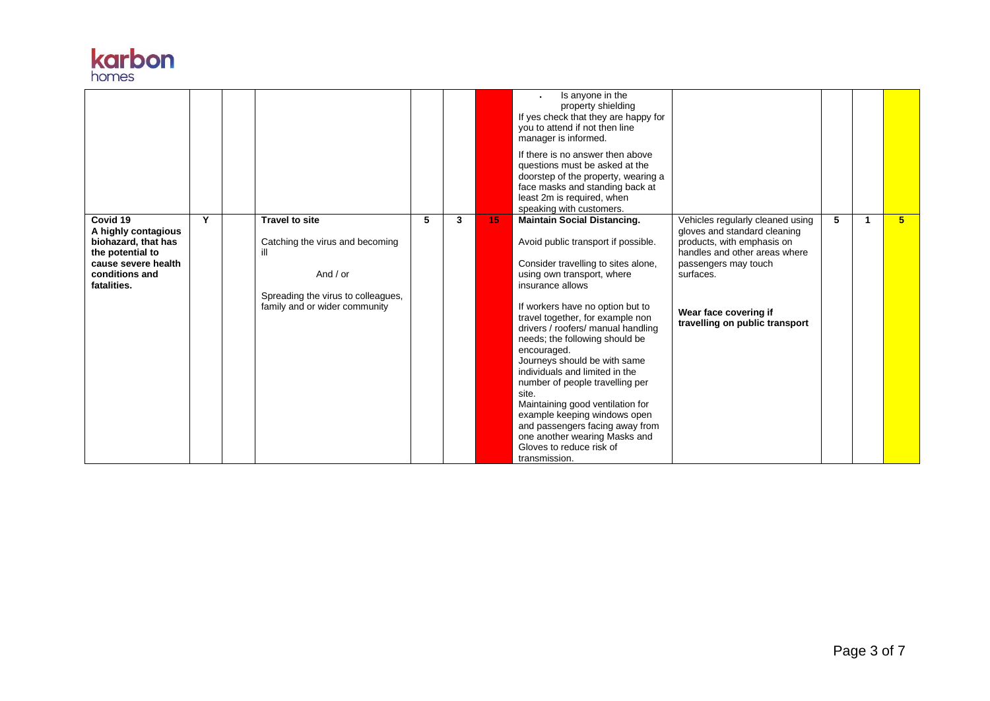

|                                                                                                                                    |   |                                                                                                                                               |   |   |    | Is anyone in the<br>property shielding<br>If yes check that they are happy for<br>you to attend if not then line<br>manager is informed.<br>If there is no answer then above<br>questions must be asked at the<br>doorstep of the property, wearing a<br>face masks and standing back at<br>least 2m is required, when<br>speaking with customers.                                                                                                                                                                                                                                                                                   |                                                                                                                                                                                                                                 |   |                |
|------------------------------------------------------------------------------------------------------------------------------------|---|-----------------------------------------------------------------------------------------------------------------------------------------------|---|---|----|--------------------------------------------------------------------------------------------------------------------------------------------------------------------------------------------------------------------------------------------------------------------------------------------------------------------------------------------------------------------------------------------------------------------------------------------------------------------------------------------------------------------------------------------------------------------------------------------------------------------------------------|---------------------------------------------------------------------------------------------------------------------------------------------------------------------------------------------------------------------------------|---|----------------|
| Covid 19<br>A highly contagious<br>biohazard, that has<br>the potential to<br>cause severe health<br>conditions and<br>fatalities. | Y | <b>Travel to site</b><br>Catching the virus and becoming<br>And $/$ or<br>Spreading the virus to colleagues,<br>family and or wider community | 5 | 3 | 15 | <b>Maintain Social Distancing.</b><br>Avoid public transport if possible.<br>Consider travelling to sites alone,<br>using own transport, where<br>insurance allows<br>If workers have no option but to<br>travel together, for example non<br>drivers / roofers/ manual handling<br>needs; the following should be<br>encouraged.<br>Journeys should be with same<br>individuals and limited in the<br>number of people travelling per<br>site.<br>Maintaining good ventilation for<br>example keeping windows open<br>and passengers facing away from<br>one another wearing Masks and<br>Gloves to reduce risk of<br>transmission. | Vehicles regularly cleaned using<br>gloves and standard cleaning<br>products, with emphasis on<br>handles and other areas where<br>passengers may touch<br>surfaces.<br>Wear face covering if<br>travelling on public transport | 5 | 5 <sup>1</sup> |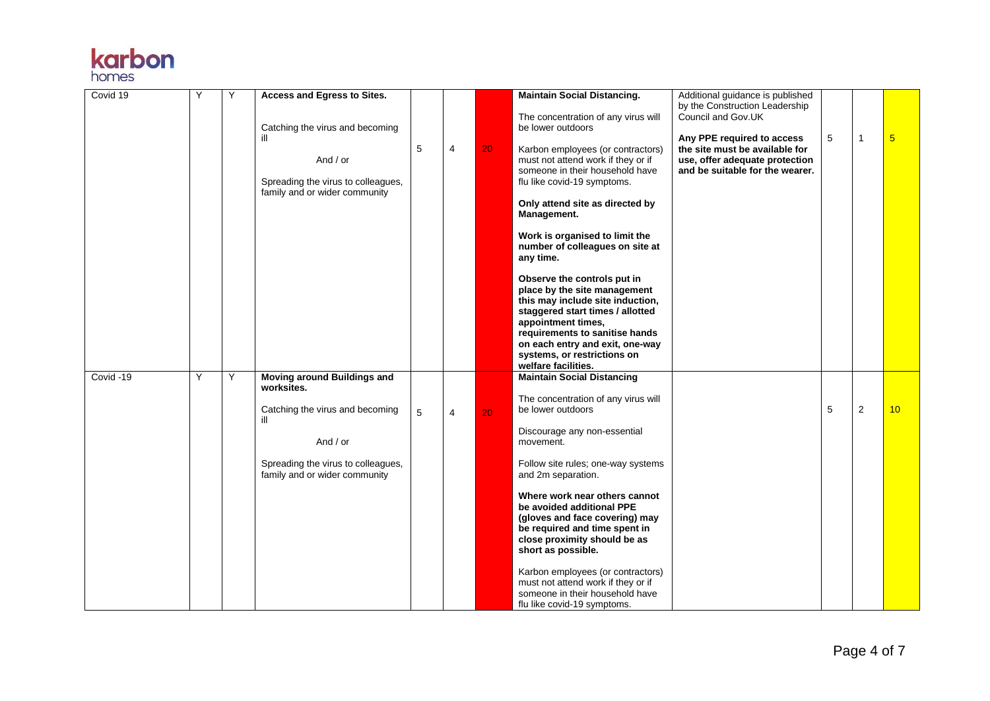# **karbon**

| Covid 19  | Y | Υ | Access and Egress to Sites.<br>Catching the virus and becoming<br>ill<br>And $/$ or<br>Spreading the virus to colleagues,<br>family and or wider community             | 5 | 4              | 20              | <b>Maintain Social Distancing.</b><br>The concentration of any virus will<br>be lower outdoors<br>Karbon employees (or contractors)<br>must not attend work if they or if<br>someone in their household have<br>flu like covid-19 symptoms.<br>Only attend site as directed by<br>Management.<br>Work is organised to limit the<br>number of colleagues on site at<br>any time.<br>Observe the controls put in<br>place by the site management<br>this may include site induction,<br>staggered start times / allotted<br>appointment times,<br>requirements to sanitise hands<br>on each entry and exit, one-way<br>systems, or restrictions on<br>welfare facilities. | Additional guidance is published<br>by the Construction Leadership<br>Council and Gov.UK<br>Any PPE required to access<br>the site must be available for<br>use, offer adequate protection<br>and be suitable for the wearer. | 5 | 1 | $\overline{\mathbf{5}}$ |
|-----------|---|---|------------------------------------------------------------------------------------------------------------------------------------------------------------------------|---|----------------|-----------------|-------------------------------------------------------------------------------------------------------------------------------------------------------------------------------------------------------------------------------------------------------------------------------------------------------------------------------------------------------------------------------------------------------------------------------------------------------------------------------------------------------------------------------------------------------------------------------------------------------------------------------------------------------------------------|-------------------------------------------------------------------------------------------------------------------------------------------------------------------------------------------------------------------------------|---|---|-------------------------|
| Covid -19 | Y | Y | Moving around Buildings and<br>worksites.<br>Catching the virus and becoming<br>ill<br>And / or<br>Spreading the virus to colleagues,<br>family and or wider community | 5 | $\overline{4}$ | 20 <sup>°</sup> | <b>Maintain Social Distancing</b><br>The concentration of any virus will<br>be lower outdoors<br>Discourage any non-essential<br>movement.<br>Follow site rules; one-way systems<br>and 2m separation.<br>Where work near others cannot<br>be avoided additional PPE<br>(gloves and face covering) may<br>be required and time spent in<br>close proximity should be as<br>short as possible.<br>Karbon employees (or contractors)<br>must not attend work if they or if<br>someone in their household have<br>flu like covid-19 symptoms.                                                                                                                              |                                                                                                                                                                                                                               | 5 | 2 | 10                      |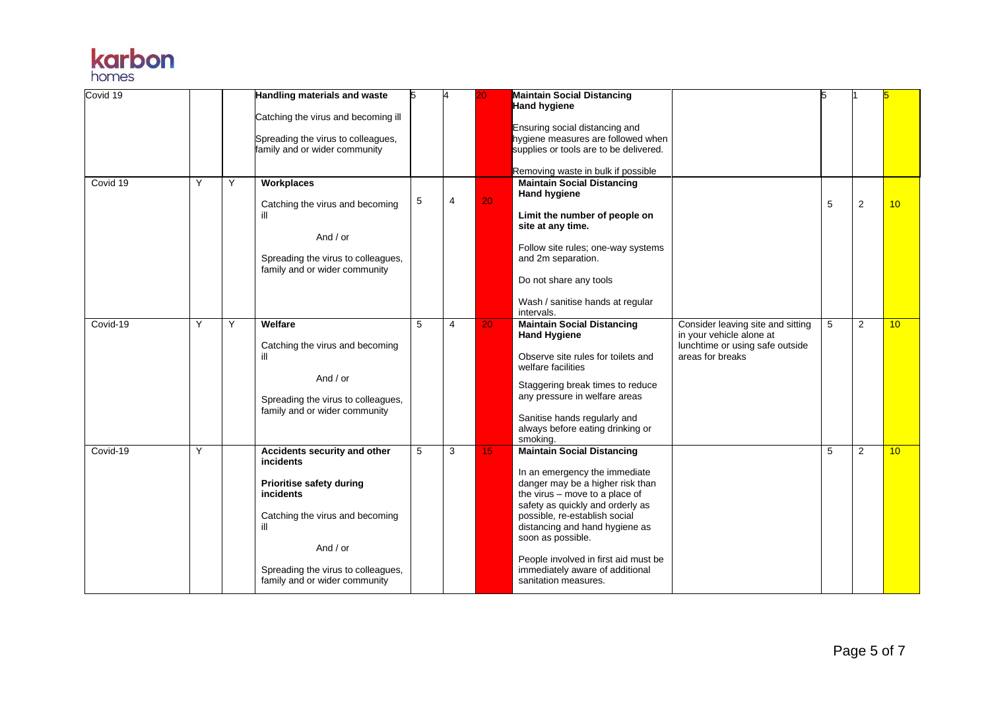

| Covid 19 |   |   | Handling materials and waste<br>Catching the virus and becoming ill<br>Spreading the virus to colleagues,<br>family and or wider community                                                                                           | 5 | 4 |                 | <b>Maintain Social Distancing</b><br><b>Hand hygiene</b><br>Ensuring social distancing and<br>hygiene measures are followed when<br>supplies or tools are to be delivered.<br>Removing waste in bulk if possible                                                                                                                                                        |                                                                                                                      | 5 |                |                 |
|----------|---|---|--------------------------------------------------------------------------------------------------------------------------------------------------------------------------------------------------------------------------------------|---|---|-----------------|-------------------------------------------------------------------------------------------------------------------------------------------------------------------------------------------------------------------------------------------------------------------------------------------------------------------------------------------------------------------------|----------------------------------------------------------------------------------------------------------------------|---|----------------|-----------------|
| Covid 19 | Y | Y | Workplaces<br>Catching the virus and becoming<br>ill<br>And / or<br>Spreading the virus to colleagues,<br>family and or wider community                                                                                              | 5 | 4 | 20              | <b>Maintain Social Distancing</b><br>Hand hygiene<br>Limit the number of people on<br>site at any time.<br>Follow site rules; one-way systems<br>and 2m separation.<br>Do not share any tools<br>Wash / sanitise hands at regular<br>intervals.                                                                                                                         |                                                                                                                      | 5 | $\overline{2}$ | 10              |
| Covid-19 | Υ | Y | Welfare<br>Catching the virus and becoming<br>ill<br>And / or<br>Spreading the virus to colleagues,<br>family and or wider community                                                                                                 | 5 | 4 | 20              | <b>Maintain Social Distancing</b><br><b>Hand Hygiene</b><br>Observe site rules for toilets and<br>welfare facilities<br>Staggering break times to reduce<br>any pressure in welfare areas<br>Sanitise hands regularly and<br>always before eating drinking or<br>smoking.                                                                                               | Consider leaving site and sitting<br>in your vehicle alone at<br>lunchtime or using safe outside<br>areas for breaks | 5 | 2              | 10              |
| Covid-19 | Y |   | Accidents security and other<br><i>incidents</i><br><b>Prioritise safety during</b><br><i>incidents</i><br>Catching the virus and becoming<br>ill<br>And / or<br>Spreading the virus to colleagues,<br>family and or wider community | 5 | 3 | 15 <sub>1</sub> | <b>Maintain Social Distancing</b><br>In an emergency the immediate<br>danger may be a higher risk than<br>the virus - move to a place of<br>safety as quickly and orderly as<br>possible, re-establish social<br>distancing and hand hygiene as<br>soon as possible.<br>People involved in first aid must be<br>immediately aware of additional<br>sanitation measures. |                                                                                                                      | 5 | 2              | 10 <sup>°</sup> |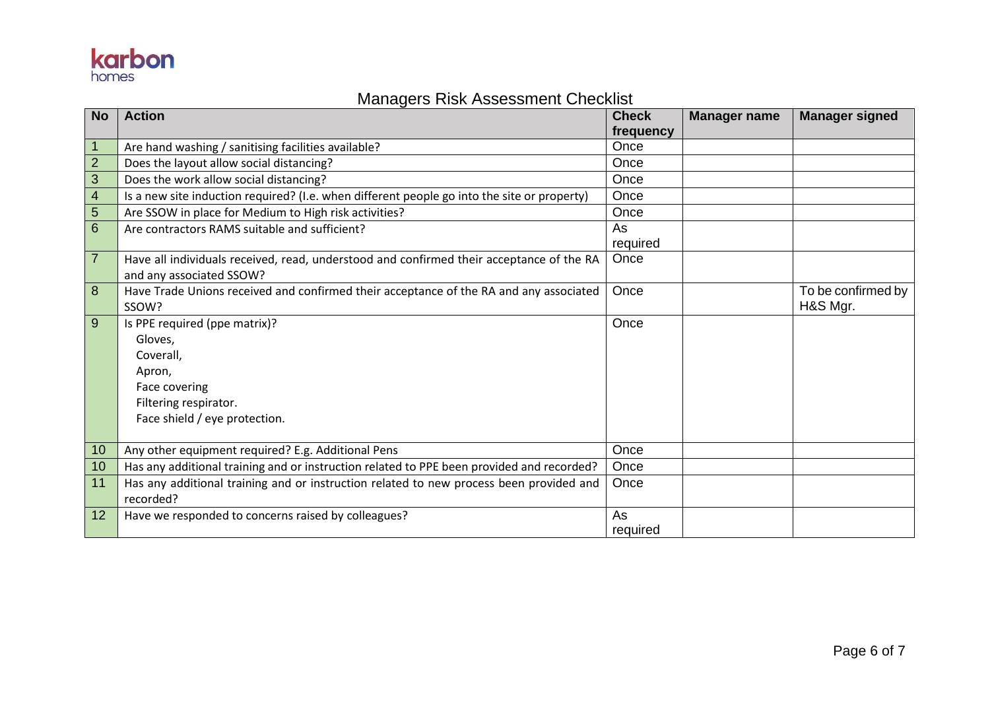## **karbon**

### Managers Risk Assessment Checklist

| <b>No</b>      | <b>Action</b>                                                                               | <b>Check</b> | <b>Manager name</b> | <b>Manager signed</b> |
|----------------|---------------------------------------------------------------------------------------------|--------------|---------------------|-----------------------|
|                |                                                                                             | frequency    |                     |                       |
| $\mathbf{1}$   | Are hand washing / sanitising facilities available?                                         | Once         |                     |                       |
| $\overline{2}$ | Does the layout allow social distancing?                                                    | Once         |                     |                       |
| $\mathfrak{S}$ | Does the work allow social distancing?                                                      | Once         |                     |                       |
| $\overline{4}$ | Is a new site induction required? (I.e. when different people go into the site or property) | Once         |                     |                       |
| $\overline{5}$ | Are SSOW in place for Medium to High risk activities?                                       | Once         |                     |                       |
| 6              | Are contractors RAMS suitable and sufficient?                                               | As           |                     |                       |
|                |                                                                                             | required     |                     |                       |
| $\overline{7}$ | Have all individuals received, read, understood and confirmed their acceptance of the RA    | Once         |                     |                       |
|                | and any associated SSOW?                                                                    |              |                     |                       |
| 8              | Have Trade Unions received and confirmed their acceptance of the RA and any associated      | Once         |                     | To be confirmed by    |
|                | SSOW?                                                                                       |              |                     | H&S Mgr.              |
| 9              | Is PPE required (ppe matrix)?                                                               | Once         |                     |                       |
|                | Gloves,                                                                                     |              |                     |                       |
|                | Coverall,                                                                                   |              |                     |                       |
|                | Apron,                                                                                      |              |                     |                       |
|                | Face covering                                                                               |              |                     |                       |
|                | Filtering respirator.                                                                       |              |                     |                       |
|                | Face shield / eye protection.                                                               |              |                     |                       |
|                |                                                                                             |              |                     |                       |
| 10             | Any other equipment required? E.g. Additional Pens                                          | Once         |                     |                       |
| 10             | Has any additional training and or instruction related to PPE been provided and recorded?   | Once         |                     |                       |
| 11             | Has any additional training and or instruction related to new process been provided and     | Once         |                     |                       |
|                | recorded?                                                                                   |              |                     |                       |
| 12             | Have we responded to concerns raised by colleagues?                                         | As           |                     |                       |
|                |                                                                                             | required     |                     |                       |